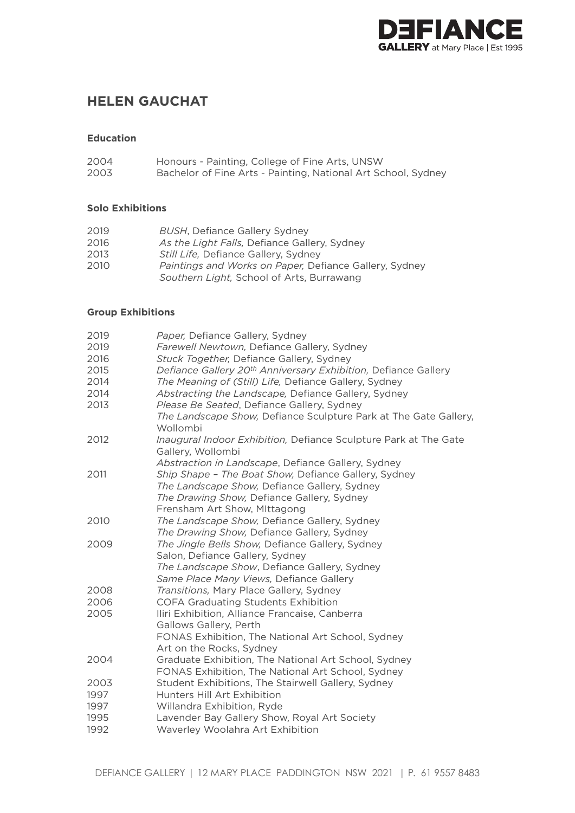

# **HELEN GAUCHAT**

#### **Education**

| 2004 | Honours - Painting, College of Fine Arts, UNSW                |
|------|---------------------------------------------------------------|
| 2003 | Bachelor of Fine Arts - Painting, National Art School, Sydney |

### **Solo Exhibitions**

| 2019 | <b>BUSH, Defiance Gallery Sydney</b>                          |
|------|---------------------------------------------------------------|
| 2016 | As the Light Falls, Defiance Gallery, Sydney                  |
| 2013 | <i>Still Life, Defiance Gallery, Sydney</i>                   |
| 2010 | <i>Paintings and Works on Paper, Defiance Gallery, Sydney</i> |
|      | Southern Light, School of Arts, Burrawang                     |

#### **Group Exhibitions**

| 2019         | Paper, Defiance Gallery, Sydney                                                       |
|--------------|---------------------------------------------------------------------------------------|
| 2019         | Farewell Newtown, Defiance Gallery, Sydney                                            |
| 2016         | Stuck Together, Defiance Gallery, Sydney                                              |
| 2015         | Defiance Gallery 20 <sup>th</sup> Anniversary Exhibition, Defiance Gallery            |
| 2014         | The Meaning of (Still) Life, Defiance Gallery, Sydney                                 |
| 2014         | Abstracting the Landscape, Defiance Gallery, Sydney                                   |
| 2013         | Please Be Seated, Defiance Gallery, Sydney                                            |
|              | The Landscape Show, Defiance Sculpture Park at The Gate Gallery,<br>Wollombi          |
| 2012         | Inaugural Indoor Exhibition, Defiance Sculpture Park at The Gate<br>Gallery, Wollombi |
|              | Abstraction in Landscape, Defiance Gallery, Sydney                                    |
| 2011         | Ship Shape - The Boat Show, Defiance Gallery, Sydney                                  |
|              | The Landscape Show, Defiance Gallery, Sydney                                          |
|              | The Drawing Show, Defiance Gallery, Sydney                                            |
|              | Frensham Art Show, Mittagong                                                          |
| 2010         | The Landscape Show, Defiance Gallery, Sydney                                          |
|              | The Drawing Show, Defiance Gallery, Sydney                                            |
| 2009         | The Jingle Bells Show, Defiance Gallery, Sydney                                       |
|              | Salon, Defiance Gallery, Sydney                                                       |
|              | The Landscape Show, Defiance Gallery, Sydney                                          |
|              | Same Place Many Views, Defiance Gallery                                               |
| 2008         | Transitions, Mary Place Gallery, Sydney                                               |
| 2006         | COFA Graduating Students Exhibition                                                   |
| 2005         | Iliri Exhibition, Alliance Francaise, Canberra                                        |
|              | Gallows Gallery, Perth                                                                |
|              | FONAS Exhibition, The National Art School, Sydney                                     |
|              | Art on the Rocks, Sydney                                                              |
| 2004         | Graduate Exhibition, The National Art School, Sydney                                  |
|              | FONAS Exhibition, The National Art School, Sydney                                     |
| 2003<br>1997 | Student Exhibitions, The Stairwell Gallery, Sydney<br>Hunters Hill Art Exhibition     |
| 1997         |                                                                                       |
| 1995         | Willandra Exhibition, Ryde<br>Lavender Bay Gallery Show, Royal Art Society            |
| 1992         | Waverley Woolahra Art Exhibition                                                      |
|              |                                                                                       |